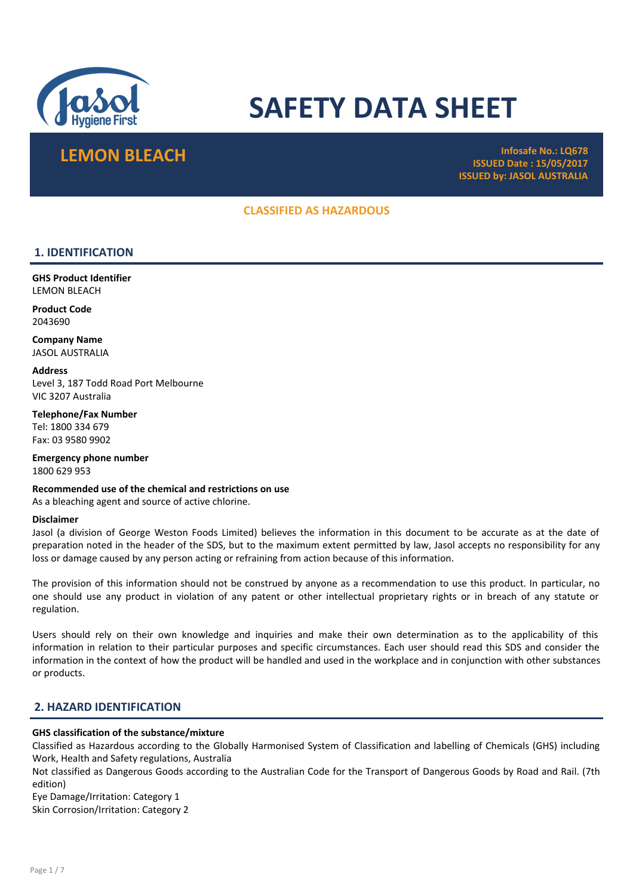

# SAFETY DATA SHEET

LEMON BLEACH Infosafe No.: LQ678 ISSUED Date : 15/05/2017 ISSUED by: JASOL AUSTRALIA

# CLASSIFIED AS HAZARDOUS

# 1. IDENTIFICATION

GHS Product Identifier LEMON BLEACH

Product Code 2043690

Company Name JASOL AUSTRALIA

**Address** Level 3, 187 Todd Road Port Melbourne VIC 3207 Australia

Telephone/Fax Number Tel: 1800 334 679 Fax: 03 9580 9902

Emergency phone number 1800 629 953

Recommended use of the chemical and restrictions on use As a bleaching agent and source of active chlorine.

#### Disclaimer

Jasol (a division of George Weston Foods Limited) believes the information in this document to be accurate as at the date of preparation noted in the header of the SDS, but to the maximum extent permitted by law, Jasol accepts no responsibility for any loss or damage caused by any person acting or refraining from action because of this information.

The provision of this information should not be construed by anyone as a recommendation to use this product. In particular, no one should use any product in violation of any patent or other intellectual proprietary rights or in breach of any statute or regulation.

Users should rely on their own knowledge and inquiries and make their own determination as to the applicability of this information in relation to their particular purposes and specific circumstances. Each user should read this SDS and consider the information in the context of how the product will be handled and used in the workplace and in conjunction with other substances or products.

# 2. HAZARD IDENTIFICATION

# GHS classification of the substance/mixture

Classified as Hazardous according to the Globally Harmonised System of Classification and labelling of Chemicals (GHS) including Work, Health and Safety regulations, Australia

Not classified as Dangerous Goods according to the Australian Code for the Transport of Dangerous Goods by Road and Rail. (7th edition)

Eye Damage/Irritation: Category 1 Skin Corrosion/Irritation: Category 2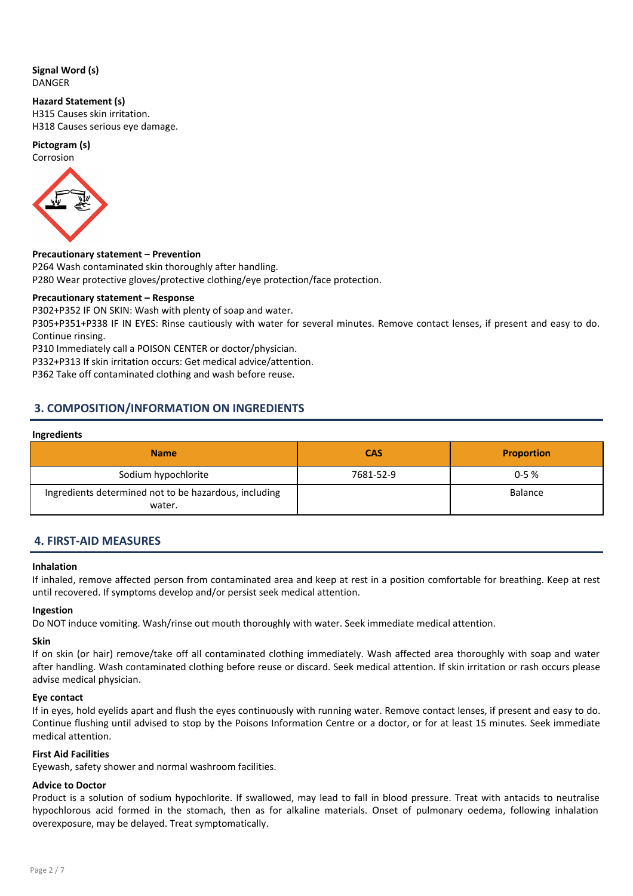# Signal Word (s) DANGER

# Hazard Statement (s)

H315 Causes skin irritation. H318 Causes serious eye damage.

# Pictogram (s)



# Precautionary statement – Prevention

P264 Wash contaminated skin thoroughly after handling. P280 Wear protective gloves/protective clothing/eye protection/face protection.

# Precautionary statement – Response

P302+P352 IF ON SKIN: Wash with plenty of soap and water.

P305+P351+P338 IF IN EYES: Rinse cautiously with water for several minutes. Remove contact lenses, if present and easy to do. Continue rinsing.

P310 Immediately call a POISON CENTER or doctor/physician.

P332+P313 If skin irritation occurs: Get medical advice/attention.

P362 Take off contaminated clothing and wash before reuse.

# 3. COMPOSITION/INFORMATION ON INGREDIENTS

# Ingredients

| <b>Name</b>                                                     | <b>CAS</b> | <b>Proportion</b> |
|-----------------------------------------------------------------|------------|-------------------|
| Sodium hypochlorite                                             | 7681-52-9  | $0 - 5%$          |
| Ingredients determined not to be hazardous, including<br>water. |            | <b>Balance</b>    |

# 4. FIRST-AID MEASURES

# Inhalation

If inhaled, remove affected person from contaminated area and keep at rest in a position comfortable for breathing. Keep at rest until recovered. If symptoms develop and/or persist seek medical attention.

# Ingestion

Do NOT induce vomiting. Wash/rinse out mouth thoroughly with water. Seek immediate medical attention.

# Skin

If on skin (or hair) remove/take off all contaminated clothing immediately. Wash affected area thoroughly with soap and water after handling. Wash contaminated clothing before reuse or discard. Seek medical attention. If skin irritation or rash occurs please advise medical physician.

# Eye contact

If in eyes, hold eyelids apart and flush the eyes continuously with running water. Remove contact lenses, if present and easy to do. Continue flushing until advised to stop by the Poisons Information Centre or a doctor, or for at least 15 minutes. Seek immediate medical attention.

# First Aid Facilities

Eyewash, safety shower and normal washroom facilities.

# Advice to Doctor

Product is a solution of sodium hypochlorite. If swallowed, may lead to fall in blood pressure. Treat with antacids to neutralise hypochlorous acid formed in the stomach, then as for alkaline materials. Onset of pulmonary oedema, following inhalation overexposure, may be delayed. Treat symptomatically.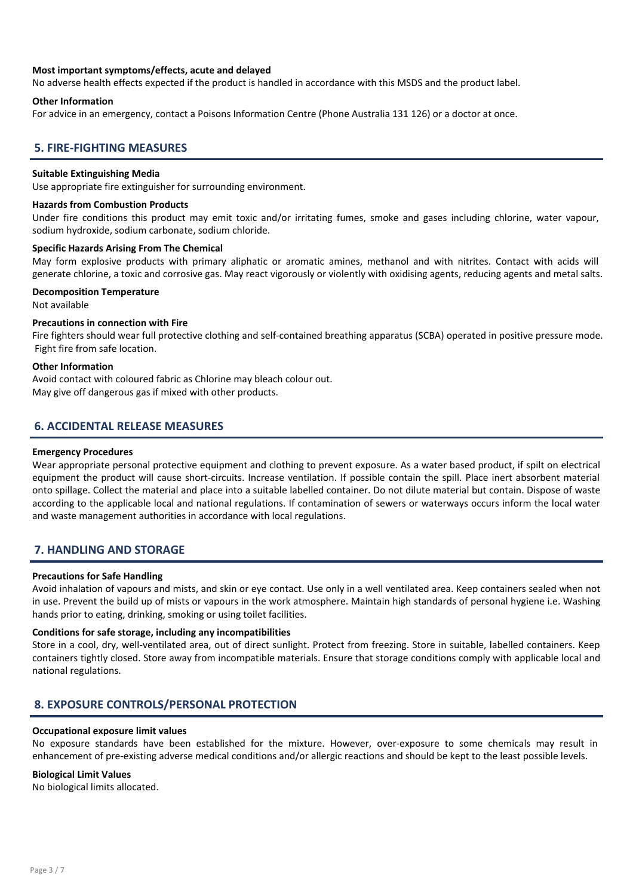# Most important symptoms/effects, acute and delayed

No adverse health effects expected if the product is handled in accordance with this MSDS and the product label.

#### Other Information

For advice in an emergency, contact a Poisons Information Centre (Phone Australia 131 126) or a doctor at once.

# 5. FIRE-FIGHTING MEASURES

#### Suitable Extinguishing Media

Use appropriate fire extinguisher for surrounding environment.

#### Hazards from Combustion Products

Under fire conditions this product may emit toxic and/or irritating fumes, smoke and gases including chlorine, water vapour, sodium hydroxide, sodium carbonate, sodium chloride.

#### Specific Hazards Arising From The Chemical

May form explosive products with primary aliphatic or aromatic amines, methanol and with nitrites. Contact with acids will generate chlorine, a toxic and corrosive gas. May react vigorously or violently with oxidising agents, reducing agents and metal salts.

#### Decomposition Temperature

Not available

# Precautions in connection with Fire

Fire fighters should wear full protective clothing and self-contained breathing apparatus (SCBA) operated in positive pressure mode. Fight fire from safe location.

#### Other Information

Avoid contact with coloured fabric as Chlorine may bleach colour out. May give off dangerous gas if mixed with other products.

# 6. ACCIDENTAL RELEASE MEASURES

#### Emergency Procedures

Wear appropriate personal protective equipment and clothing to prevent exposure. As a water based product, if spilt on electrical equipment the product will cause short-circuits. Increase ventilation. If possible contain the spill. Place inert absorbent material onto spillage. Collect the material and place into a suitable labelled container. Do not dilute material but contain. Dispose of waste according to the applicable local and national regulations. If contamination of sewers or waterways occurs inform the local water and waste management authorities in accordance with local regulations.

# 7. HANDLING AND STORAGE

#### Precautions for Safe Handling

Avoid inhalation of vapours and mists, and skin or eye contact. Use only in a well ventilated area. Keep containers sealed when not in use. Prevent the build up of mists or vapours in the work atmosphere. Maintain high standards of personal hygiene i.e. Washing hands prior to eating, drinking, smoking or using toilet facilities.

#### Conditions for safe storage, including any incompatibilities

Store in a cool, dry, well-ventilated area, out of direct sunlight. Protect from freezing. Store in suitable, labelled containers. Keep containers tightly closed. Store away from incompatible materials. Ensure that storage conditions comply with applicable local and national regulations.

# 8. EXPOSURE CONTROLS/PERSONAL PROTECTION

#### Occupational exposure limit values

No exposure standards have been established for the mixture. However, over-exposure to some chemicals may result in enhancement of pre-existing adverse medical conditions and/or allergic reactions and should be kept to the least possible levels.

#### Biological Limit Values

No biological limits allocated.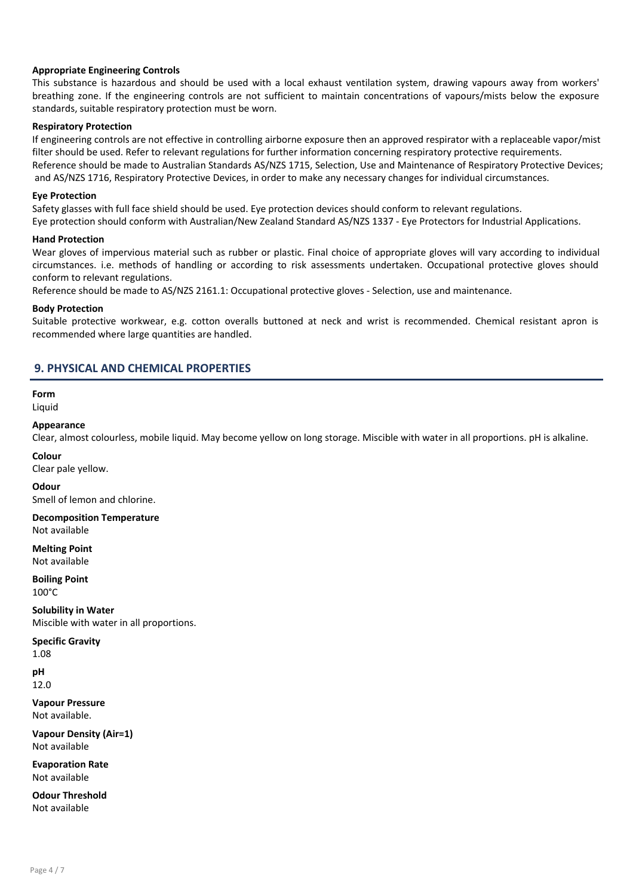# Appropriate Engineering Controls

This substance is hazardous and should be used with a local exhaust ventilation system, drawing vapours away from workers' breathing zone. If the engineering controls are not sufficient to maintain concentrations of vapours/mists below the exposure standards, suitable respiratory protection must be worn.

# Respiratory Protection

If engineering controls are not effective in controlling airborne exposure then an approved respirator with a replaceable vapor/mist filter should be used. Refer to relevant regulations for further information concerning respiratory protective requirements. Reference should be made to Australian Standards AS/NZS 1715, Selection, Use and Maintenance of Respiratory Protective Devices; and AS/NZS 1716, Respiratory Protective Devices, in order to make any necessary changes for individual circumstances.

# Eye Protection

Safety glasses with full face shield should be used. Eye protection devices should conform to relevant regulations.

Eye protection should conform with Australian/New Zealand Standard AS/NZS 1337 - Eye Protectors for Industrial Applications.

# Hand Protection

Wear gloves of impervious material such as rubber or plastic. Final choice of appropriate gloves will vary according to individual circumstances. i.e. methods of handling or according to risk assessments undertaken. Occupational protective gloves should conform to relevant regulations.

Reference should be made to AS/NZS 2161.1: Occupational protective gloves - Selection, use and maintenance.

# Body Protection

Suitable protective workwear, e.g. cotton overalls buttoned at neck and wrist is recommended. Chemical resistant apron is recommended where large quantities are handled.

# 9. PHYSICAL AND CHEMICAL PROPERTIES

Form Liquid

# Appearance

Clear, almost colourless, mobile liquid. May become yellow on long storage. Miscible with water in all proportions. pH is alkaline.

Colour

Clear pale yellow.

#### **Odour**

Smell of lemon and chlorine.

Decomposition Temperature Not available

Melting Point Not available

Boiling Point 100°C

Solubility in Water Miscible with water in all proportions.

Specific Gravity

1.08

pH 12.0

Vapour Pressure

Not available.

Vapour Density (Air=1) Not available

Evaporation Rate Not available

Odour Threshold Not available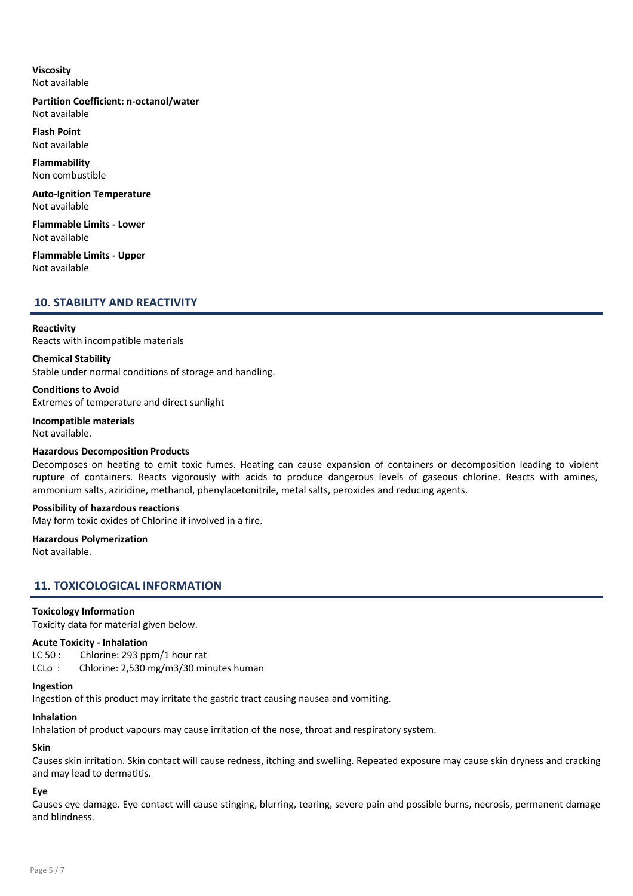# Viscosity Not available

# Partition Coefficient: n-octanol/water Not available

Flash Point Not available

Flammability Non combustible

Auto-Ignition Temperature Not available

Flammable Limits - Lower Not available

Flammable Limits - Upper Not available

# 10. STABILITY AND REACTIVITY

# **Reactivity**

Reacts with incompatible materials

# Chemical Stability

Stable under normal conditions of storage and handling.

Conditions to Avoid

Extremes of temperature and direct sunlight

#### Incompatible materials Not available.

# Hazardous Decomposition Products

Decomposes on heating to emit toxic fumes. Heating can cause expansion of containers or decomposition leading to violent rupture of containers. Reacts vigorously with acids to produce dangerous levels of gaseous chlorine. Reacts with amines, ammonium salts, aziridine, methanol, phenylacetonitrile, metal salts, peroxides and reducing agents.

# Possibility of hazardous reactions

May form toxic oxides of Chlorine if involved in a fire.

# Hazardous Polymerization

Not available.

# 11. TOXICOLOGICAL INFORMATION

# Toxicology Information

Toxicity data for material given below.

# Acute Toxicity - Inhalation

LC 50 : Chlorine: 293 ppm/1 hour rat LCLo: Chlorine: 2,530 mg/m3/30 minutes human

# Ingestion

Ingestion of this product may irritate the gastric tract causing nausea and vomiting.

# Inhalation

Inhalation of product vapours may cause irritation of the nose, throat and respiratory system.

# Skin

Causes skin irritation. Skin contact will cause redness, itching and swelling. Repeated exposure may cause skin dryness and cracking and may lead to dermatitis.

# Eye

Causes eye damage. Eye contact will cause stinging, blurring, tearing, severe pain and possible burns, necrosis, permanent damage and blindness.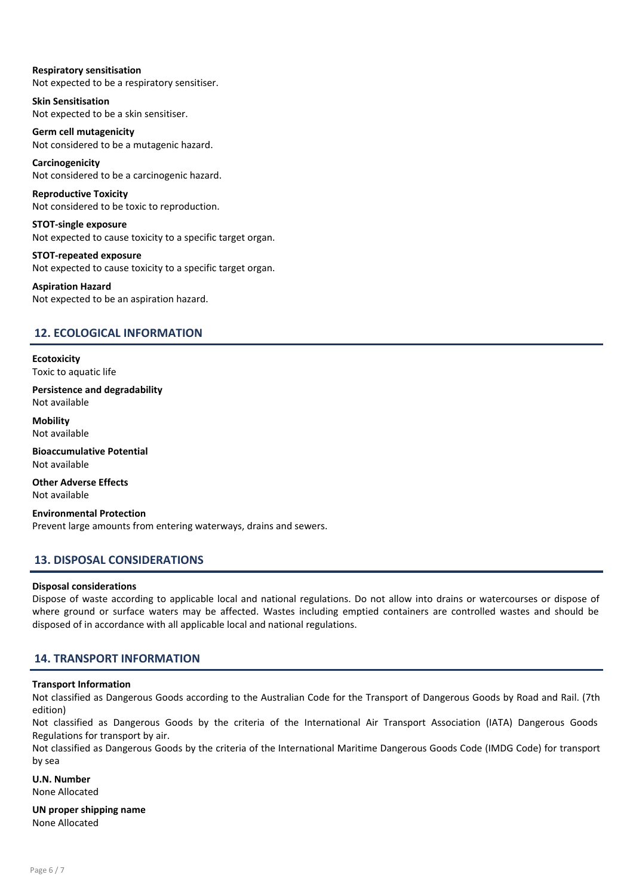# Respiratory sensitisation

Not expected to be a respiratory sensitiser.

Skin Sensitisation Not expected to be a skin sensitiser.

Germ cell mutagenicity Not considered to be a mutagenic hazard.

Carcinogenicity Not considered to be a carcinogenic hazard.

Reproductive Toxicity Not considered to be toxic to reproduction.

STOT-single exposure Not expected to cause toxicity to a specific target organ.

STOT-repeated exposure Not expected to cause toxicity to a specific target organ.

# Aspiration Hazard Not expected to be an aspiration hazard.

# 12. ECOLOGICAL INFORMATION

**Ecotoxicity** Toxic to aquatic life

Persistence and degradability Not available

**Mobility** Not available

Bioaccumulative Potential Not available

Other Adverse Effects Not available

Environmental Protection Prevent large amounts from entering waterways, drains and sewers.

# 13. DISPOSAL CONSIDERATIONS

# Disposal considerations

Dispose of waste according to applicable local and national regulations. Do not allow into drains or watercourses or dispose of where ground or surface waters may be affected. Wastes including emptied containers are controlled wastes and should be disposed of in accordance with all applicable local and national regulations.

# 14. TRANSPORT INFORMATION

# Transport Information

Not classified as Dangerous Goods according to the Australian Code for the Transport of Dangerous Goods by Road and Rail. (7th edition)

Not classified as Dangerous Goods by the criteria of the International Air Transport Association (IATA) Dangerous Goods Regulations for transport by air.

Not classified as Dangerous Goods by the criteria of the International Maritime Dangerous Goods Code (IMDG Code) for transport by sea

#### U.N. Number None Allocated

UN proper shipping name None Allocated